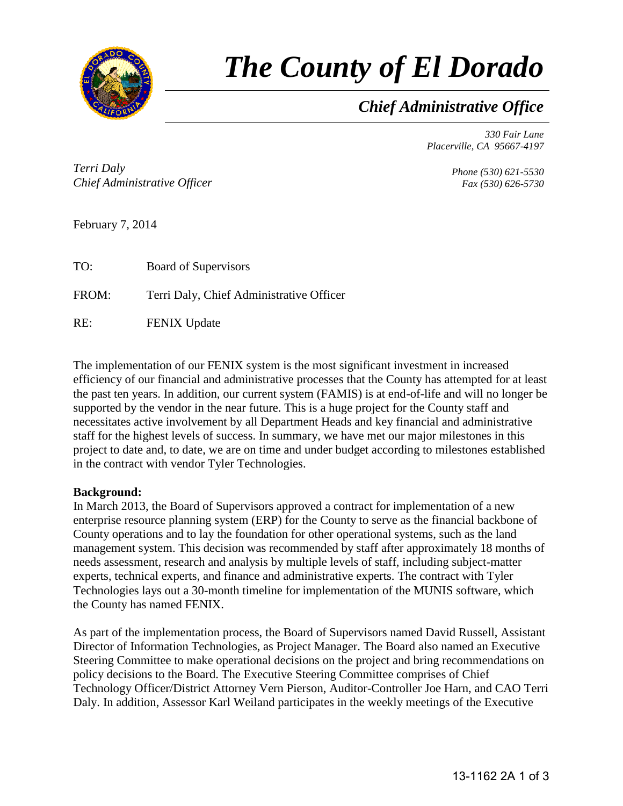

# *The County of El Dorado*

# *Chief Administrative Office*

*330 Fair Lane Placerville, CA 95667-4197*

*Terri Daly Chief Administrative Officer*

*Phone (530) 621-5530 Fax (530) 626-5730*

February 7, 2014

| TO:   | <b>Board of Supervisors</b>              |
|-------|------------------------------------------|
| FROM: | Terri Daly, Chief Administrative Officer |
| RE:   | <b>FENIX Update</b>                      |

The implementation of our FENIX system is the most significant investment in increased efficiency of our financial and administrative processes that the County has attempted for at least the past ten years. In addition, our current system (FAMIS) is at end-of-life and will no longer be supported by the vendor in the near future. This is a huge project for the County staff and necessitates active involvement by all Department Heads and key financial and administrative staff for the highest levels of success. In summary, we have met our major milestones in this project to date and, to date, we are on time and under budget according to milestones established in the contract with vendor Tyler Technologies.

## **Background:**

In March 2013, the Board of Supervisors approved a contract for implementation of a new enterprise resource planning system (ERP) for the County to serve as the financial backbone of County operations and to lay the foundation for other operational systems, such as the land management system. This decision was recommended by staff after approximately 18 months of needs assessment, research and analysis by multiple levels of staff, including subject-matter experts, technical experts, and finance and administrative experts. The contract with Tyler Technologies lays out a 30-month timeline for implementation of the MUNIS software, which the County has named FENIX.

As part of the implementation process, the Board of Supervisors named David Russell, Assistant Director of Information Technologies, as Project Manager. The Board also named an Executive Steering Committee to make operational decisions on the project and bring recommendations on policy decisions to the Board. The Executive Steering Committee comprises of Chief Technology Officer/District Attorney Vern Pierson, Auditor-Controller Joe Harn, and CAO Terri Daly. In addition, Assessor Karl Weiland participates in the weekly meetings of the Executive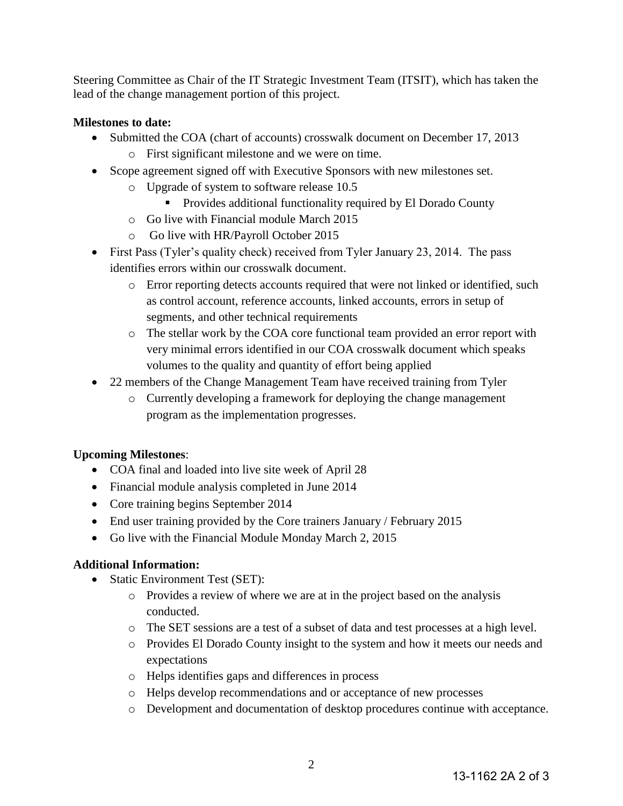Steering Committee as Chair of the IT Strategic Investment Team (ITSIT), which has taken the lead of the change management portion of this project.

### **Milestones to date:**

- Submitted the COA (chart of accounts) crosswalk document on December 17, 2013
	- o First significant milestone and we were on time.
- Scope agreement signed off with Executive Sponsors with new milestones set.
	- o Upgrade of system to software release 10.5
		- **Provides additional functionality required by El Dorado County**
	- o Go live with Financial module March 2015
	- o Go live with HR/Payroll October 2015
- First Pass (Tyler's quality check) received from Tyler January 23, 2014. The pass identifies errors within our crosswalk document.
	- o Error reporting detects accounts required that were not linked or identified, such as control account, reference accounts, linked accounts, errors in setup of segments, and other technical requirements
	- o The stellar work by the COA core functional team provided an error report with very minimal errors identified in our COA crosswalk document which speaks volumes to the quality and quantity of effort being applied
- 22 members of the Change Management Team have received training from Tyler
	- o Currently developing a framework for deploying the change management program as the implementation progresses.

#### **Upcoming Milestones**:

- COA final and loaded into live site week of April 28
- Financial module analysis completed in June 2014
- Core training begins September 2014
- End user training provided by the Core trainers January / February 2015
- Go live with the Financial Module Monday March 2, 2015

#### **Additional Information:**

- Static Environment Test (SET):
	- o Provides a review of where we are at in the project based on the analysis conducted.
	- o The SET sessions are a test of a subset of data and test processes at a high level.
	- o Provides El Dorado County insight to the system and how it meets our needs and expectations
	- o Helps identifies gaps and differences in process
	- o Helps develop recommendations and or acceptance of new processes
	- o Development and documentation of desktop procedures continue with acceptance.